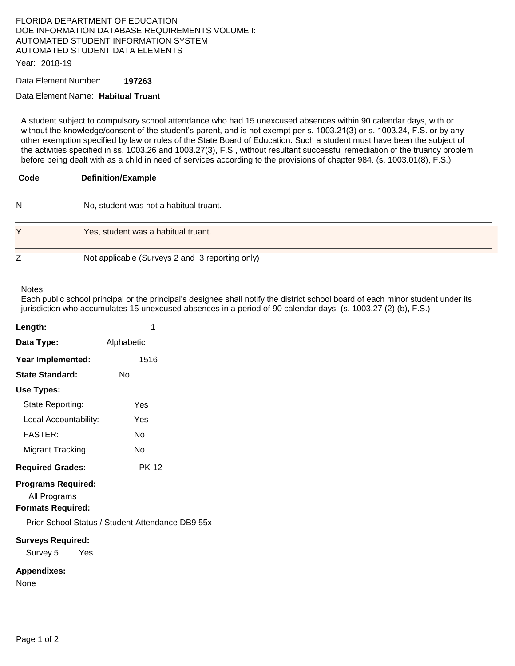# FLORIDA DEPARTMENT OF EDUCATION DOE INFORMATION DATABASE REQUIREMENTS VOLUME I: AUTOMATED STUDENT INFORMATION SYSTEM AUTOMATED STUDENT DATA ELEMENTS

Year: 2018-19

Data Element Number: **197263** 

#### Data Element Name: **Habitual Truant**

A student subject to compulsory school attendance who had 15 unexcused absences within 90 calendar days, with or without the knowledge/consent of the student's parent, and is not exempt per s. 1003.21(3) or s. 1003.24, F.S. or by any other exemption specified by law or rules of the State Board of Education. Such a student must have been the subject of the activities specified in ss. 1003.26 and 1003.27(3), F.S., without resultant successful remediation of the truancy problem before being dealt with as a child in need of services according to the provisions of chapter 984. (s. 1003.01(8), F.S.)

# **Code Definition/Example**  N No, student was not a habitual truant. Y Yes, student was a habitual truant. Z Not applicable (Surveys 2 and 3 reporting only)

Notes:

Each public school principal or the principal's designee shall notify the district school board of each minor student under its jurisdiction who accumulates 15 unexcused absences in a period of 90 calendar days. (s. 1003.27 (2) (b), F.S.)

| Length:                                                               | 1            |
|-----------------------------------------------------------------------|--------------|
| Data Type:                                                            | Alphabetic   |
| Year Implemented:                                                     | 1516         |
| <b>State Standard:</b>                                                | Nο           |
| Use Types:                                                            |              |
| State Reporting:                                                      | Yes          |
| Local Accountability:                                                 | Yes          |
| <b>FASTER:</b>                                                        | Nο           |
| Migrant Tracking:                                                     | Nο           |
| <b>Required Grades:</b>                                               | <b>PK-12</b> |
| <b>Programs Required:</b><br>All Programs<br><b>Formats Required:</b> |              |
| Prior School Status / Student Attendance DB9 55x                      |              |
| <b>Surveys Required:</b><br>Survey 5<br>Yes                           |              |
| <b>Appendixes:</b><br>None                                            |              |